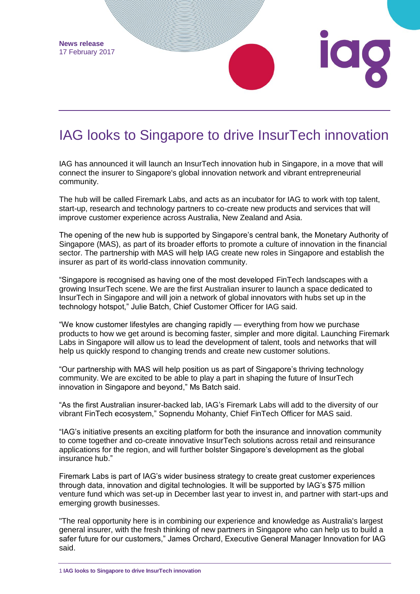

## IAG looks to Singapore to drive InsurTech innovation

IAG has announced it will launch an InsurTech innovation hub in Singapore, in a move that will connect the insurer to Singapore's global innovation network and vibrant entrepreneurial community.

The hub will be called Firemark Labs, and acts as an incubator for IAG to work with top talent, start-up, research and technology partners to co-create new products and services that will improve customer experience across Australia, New Zealand and Asia.

The opening of the new hub is supported by Singapore's central bank, the Monetary Authority of Singapore (MAS), as part of its broader efforts to promote a culture of innovation in the financial sector. The partnership with MAS will help IAG create new roles in Singapore and establish the insurer as part of its world-class innovation community.

"Singapore is recognised as having one of the most developed FinTech landscapes with a growing InsurTech scene. We are the first Australian insurer to launch a space dedicated to InsurTech in Singapore and will join a network of global innovators with hubs set up in the technology hotspot," Julie Batch, Chief Customer Officer for IAG said.

"We know customer lifestyles are changing rapidly — everything from how we purchase products to how we get around is becoming faster, simpler and more digital. Launching Firemark Labs in Singapore will allow us to lead the development of talent, tools and networks that will help us quickly respond to changing trends and create new customer solutions.

"Our partnership with MAS will help position us as part of Singapore's thriving technology community. We are excited to be able to play a part in shaping the future of InsurTech innovation in Singapore and beyond," Ms Batch said.

"As the first Australian insurer-backed lab, IAG's Firemark Labs will add to the diversity of our vibrant FinTech ecosystem," Sopnendu Mohanty, Chief FinTech Officer for MAS said.

"IAG's initiative presents an exciting platform for both the insurance and innovation community to come together and co-create innovative InsurTech solutions across retail and reinsurance applications for the region, and will further bolster Singapore's development as the global insurance hub."

Firemark Labs is part of IAG's wider business strategy to create great customer experiences through data, innovation and digital technologies. It will be supported by IAG's \$75 million venture fund which was set-up in December last year to invest in, and partner with start-ups and emerging growth businesses.

"The real opportunity here is in combining our experience and knowledge as Australia's largest general insurer, with the fresh thinking of new partners in Singapore who can help us to build a safer future for our customers," James Orchard, Executive General Manager Innovation for IAG said.